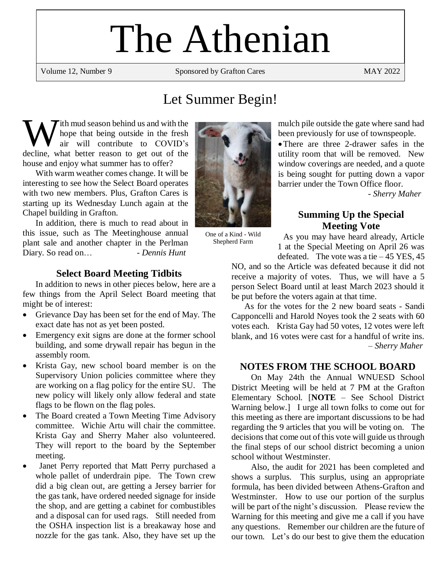# The Athenian

Volume 12, Number 9 Sponsored by Grafton Cares MAY 2022

# Let Summer Begin!

ith mud season behind us and with the hope that being outside in the fresh air will contribute to COVID's W ith mud season behind us and with the hope that being outside in the fresh air will contribute to COVID's decline, what better reason to get out of the house and enjoy what summer has to offer?

With warm weather comes change. It will be interesting to see how the Select Board operates with two new members. Plus, Grafton Cares is starting up its Wednesday Lunch again at the Chapel building in Grafton.

In addition, there is much to read about in this issue, such as The Meetinghouse annual plant sale and another chapter in the Perlman Diary. So read on… *- Dennis Hunt*

#### **Select Board Meeting Tidbits**

In addition to news in other pieces below, here are a few things from the April Select Board meeting that might be of interest:

- Grievance Day has been set for the end of May. The exact date has not as yet been posted.
- Emergency exit signs are done at the former school building, and some drywall repair has begun in the assembly room.
- Krista Gay, new school board member is on the Supervisory Union policies committee where they are working on a flag policy for the entire SU. The new policy will likely only allow federal and state flags to be flown on the flag poles.
- The Board created a Town Meeting Time Advisory committee. Wichie Artu will chair the committee. Krista Gay and Sherry Maher also volunteered. They will report to the board by the September meeting.
- Janet Perry reported that Matt Perry purchased a whole pallet of underdrain pipe. The Town crew did a big clean out, are getting a Jersey barrier for the gas tank, have ordered needed signage for inside the shop, and are getting a cabinet for combustibles and a disposal can for used rags. Still needed from the OSHA inspection list is a breakaway hose and nozzle for the gas tank. Also, they have set up the



One of a Kind - Wild Shepherd Farm

mulch pile outside the gate where sand had been previously for use of townspeople.

•There are three 2-drawer safes in the utility room that will be removed. New window coverings are needed, and a quote is being sought for putting down a vapor barrier under the Town Office floor.

- *Sherry Maher*

# **Summing Up the Special Meeting Vote**

As you may have heard already, Article 1 at the Special Meeting on April 26 was defeated. The vote was a tie  $-45$  YES, 45

NO, and so the Article was defeated because it did not receive a majority of votes. Thus, we will have a 5 person Select Board until at least March 2023 should it be put before the voters again at that time.

As for the votes for the 2 new board seats - Sandi Capponcelli and Harold Noyes took the 2 seats with 60 votes each. Krista Gay had 50 votes, 12 votes were left blank, and 16 votes were cast for a handful of write ins. – *Sherry Maher*

# **NOTES FROM THE SCHOOL BOARD**

On May 24th the Annual WNUESD School District Meeting will be held at 7 PM at the Grafton Elementary School. [**NOTE** – See School District Warning below.] I urge all town folks to come out for this meeting as there are important discussions to be had regarding the 9 articles that you will be voting on. The decisions that come out of this vote will guide us through the final steps of our school district becoming a union school without Westminster.

Also, the audit for 2021 has been completed and shows a surplus. This surplus, using an appropriate formula, has been divided between Athens-Grafton and Westminster. How to use our portion of the surplus will be part of the night's discussion. Please review the Warning for this meeting and give me a call if you have any questions. Remember our children are the future of our town. Let's do our best to give them the education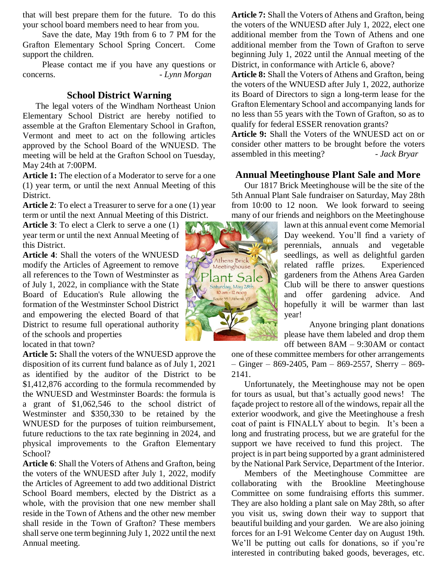that will best prepare them for the future. To do this your school board members need to hear from you.

Save the date, May 19th from 6 to 7 PM for the Grafton Elementary School Spring Concert. Come support the children.

Please contact me if you have any questions or concerns. *- Lynn Morgan*

#### **School District Warning**

The legal voters of the Windham Northeast Union Elementary School District are hereby notified to assemble at the Grafton Elementary School in Grafton, Vermont and meet to act on the following articles approved by the School Board of the WNUESD. The meeting will be held at the Grafton School on Tuesday, May 24th at 7:00PM.

**Article 1:** The election of a Moderator to serve for a one (1) year term, or until the next Annual Meeting of this District.

**Article 2**: To elect a Treasurer to serve for a one (1) year term or until the next Annual Meeting of this District.

**Article 3**: To elect a Clerk to serve a one (1) year term or until the next Annual Meeting of this District.

**Article 4**: Shall the voters of the WNUESD modify the Articles of Agreement to remove all references to the Town of Westminster as of July 1, 2022, in compliance with the State Board of Education's Rule allowing the formation of the Westminster School District and empowering the elected Board of that District to resume full operational authority of the schools and properties

located in that town?

**Article 5:** Shall the voters of the WNUESD approve the disposition of its current fund balance as of July 1, 2021 as identified by the auditor of the District to be \$1,412,876 according to the formula recommended by the WNUESD and Westminster Boards: the formula is a grant of \$1,062,546 to the school district of Westminster and \$350,330 to be retained by the WNUESD for the purposes of tuition reimbursement, future reductions to the tax rate beginning in 2024, and physical improvements to the Grafton Elementary School?

**Article 6**: Shall the Voters of Athens and Grafton, being the voters of the WNUESD after July 1, 2022, modify the Articles of Agreement to add two additional District School Board members, elected by the District as a whole, with the provision that one new member shall reside in the Town of Athens and the other new member shall reside in the Town of Grafton? These members shall serve one term beginning July 1, 2022 until the next Annual meeting.

**Article 7:** Shall the Voters of Athens and Grafton, being the voters of the WNUESD after July 1, 2022, elect one additional member from the Town of Athens and one additional member from the Town of Grafton to serve beginning July 1, 2022 until the Annual meeting of the District, in conformance with Article 6, above?

**Article 8:** Shall the Voters of Athens and Grafton, being the voters of the WNUESD after July 1, 2022, authorize its Board of Directors to sign a long-term lease for the Grafton Elementary School and accompanying lands for no less than 55 years with the Town of Grafton, so as to qualify for federal ESSER renovation grants?

**Article 9:** Shall the Voters of the WNUESD act on or consider other matters to be brought before the voters assembled in this meeting? - *Jack Bryar* 

## **Annual Meetinghouse Plant Sale and More**

Our 1817 Brick Meetinghouse will be the site of the 5th Annual Plant Sale fundraiser on Saturday, May 28th from 10:00 to 12 noon. We look forward to seeing many of our friends and neighbors on the Meetinghouse

> lawn at this annual event come Memorial Day weekend. You'll find a variety of perennials, annuals and vegetable seedlings, as well as delightful garden related raffle prizes. Experienced gardeners from the Athens Area Garden Club will be there to answer questions and offer gardening advice. And hopefully it will be warmer than last year!

> Anyone bringing plant donations please have them labeled and drop them off between 8AM – 9:30AM or contact

one of these committee members for other arrangements  $-$  Ginger – 869-2405, Pam – 869-2557, Sherry – 869-2141.

Unfortunately, the Meetinghouse may not be open for tours as usual, but that's actually good news! The façade project to restore all of the windows, repair all the exterior woodwork, and give the Meetinghouse a fresh coat of paint is FINALLY about to begin. It's been a long and frustrating process, but we are grateful for the support we have received to fund this project. The project is in part being supported by a grant administered by the National Park Service, Department of the Interior.

Members of the Meetinghouse Committee are collaborating with the Brookline Meetinghouse Committee on some fundraising efforts this summer. They are also holding a plant sale on May 28th, so after you visit us, swing down their way to support that beautiful building and your garden. We are also joining forces for an I-91 Welcome Center day on August 19th. We'll be putting out calls for donations, so if you're interested in contributing baked goods, beverages, etc.

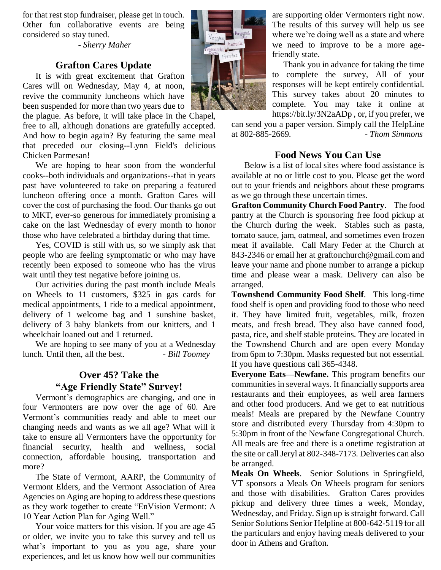for that rest stop fundraiser, please get in touch. Other fun collaborative events are being considered so stay tuned.

- *Sherry Maher*

# **Grafton Cares Update**

It is with great excitement that Grafton Cares will on Wednesday, May 4, at noon, revive the community luncheons which have been suspended for more than two years due to

the plague. As before, it will take place in the Chapel, free to all, although donations are gratefully accepted. And how to begin again? By featuring the same meal that preceded our closing--Lynn Field's delicious Chicken Parmesan!

We are hoping to hear soon from the wonderful cooks--both individuals and organizations--that in years past have volunteered to take on preparing a featured luncheon offering once a month. Grafton Cares will cover the cost of purchasing the food. Our thanks go out to MKT, ever-so generous for immediately promising a cake on the last Wednesday of every month to honor those who have celebrated a birthday during that time.

Yes, COVID is still with us, so we simply ask that people who are feeling symptomatic or who may have recently been exposed to someone who has the virus wait until they test negative before joining us.

Our activities during the past month include Meals on Wheels to 11 customers, \$325 in gas cards for medical appointments, 1 ride to a medical appointment, delivery of 1 welcome bag and 1 sunshine basket, delivery of 3 baby blankets from our knitters, and 1 wheelchair loaned out and 1 returned.

We are hoping to see many of you at a Wednesday lunch. Until then, all the best. **- Bill Toomey** 

# **Over 45? Take the "Age Friendly State" Survey!**

Vermont's demographics are changing, and one in four Vermonters are now over the age of 60. Are Vermont's communities ready and able to meet our changing needs and wants as we all age? What will it take to ensure all Vermonters have the opportunity for financial security, health and wellness, social connection, affordable housing, transportation and more?

The State of Vermont, AARP, the Community of Vermont Elders, and the Vermont Association of Area Agencies on Aging are hoping to address these questions as they work together to create "EnVision Vermont: A 10 Year Action Plan for Aging Well."

Your voice matters for this vision. If you are age 45 or older, we invite you to take this survey and tell us what's important to you as you age, share your experiences, and let us know how well our communities



are supporting older Vermonters right now. The results of this survey will help us see where we're doing well as a state and where we need to improve to be a more agefriendly state.

Thank you in advance for taking the time to complete the survey, All of your responses will be kept entirely confidential. This survey takes about 20 minutes to complete. You may take it online at https://bit.ly/3N2aADp , or, if you prefer, we

can send you a paper version. Simply call the HelpLine at 802-885-2669. - *Thom Simmons*

## **Food News You Can Use**

Below is a list of local sites where food assistance is available at no or little cost to you. Please get the word out to your friends and neighbors about these programs as we go through these uncertain times.

**Grafton Community Church Food Pantry**. The food pantry at the Church is sponsoring free food pickup at the Church during the week. Stables such as pasta, tomato sauce, jam, oatmeal, and sometimes even frozen meat if available. Call Mary Feder at the Church at 843-2346 or email her at graftonchurch@gmail.com and leave your name and phone number to arrange a pickup time and please wear a mask. Delivery can also be arranged.

**Townshend Community Food Shelf**. This long-time food shelf is open and providing food to those who need it. They have limited fruit, vegetables, milk, frozen meats, and fresh bread. They also have canned food, pasta, rice, and shelf stable proteins. They are located in the Townshend Church and are open every Monday from 6pm to 7:30pm. Masks requested but not essential. If you have questions call 365-4348.

**Everyone Eats—Newfane.** This program benefits our communities in several ways. It financially supports area restaurants and their employees, as well area farmers and other food producers. And we get to eat nutritious meals! Meals are prepared by the Newfane Country store and distributed every Thursday from 4:30pm to 5:30pm in front of the Newfane Congregational Church. All meals are free and there is a onetime registration at the site or call Jeryl at 802-348-7173. Deliveries can also be arranged.

**Meals On Wheels**. Senior Solutions in Springfield, VT sponsors a Meals On Wheels program for seniors and those with disabilities. Grafton Cares provides pickup and delivery three times a week, Monday, Wednesday, and Friday. Sign up is straight forward. Call Senior Solutions Senior Helpline at 800-642-5119 for all the particulars and enjoy having meals delivered to your door in Athens and Grafton.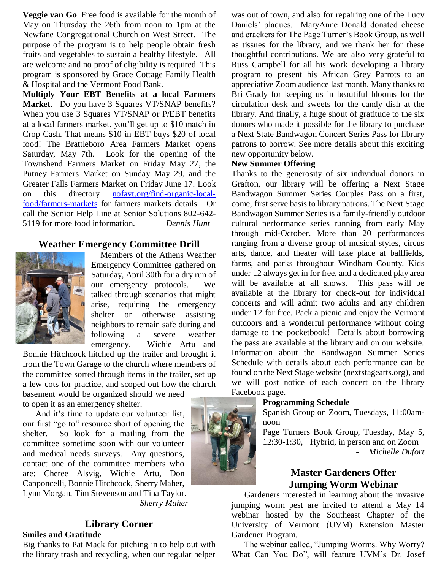**Veggie van Go**. Free food is available for the month of May on Thursday the 26th from noon to 1pm at the Newfane Congregational Church on West Street. The purpose of the program is to help people obtain fresh fruits and vegetables to sustain a healthy lifestyle. All are welcome and no proof of eligibility is required. This program is sponsored by Grace Cottage Family Health & Hospital and the Vermont Food Bank.

**Multiply Your EBT Benefits at a local Farmers Market**. Do you have 3 Squares VT/SNAP benefits? When you use 3 Squares VT/SNAP or P/EBT benefits at a local farmers market, you'll get up to \$10 match in Crop Cash. That means \$10 in EBT buys \$20 of local food! The Brattleboro Area Farmers Market opens Saturday, May 7th. Look for the opening of the Townshend Farmers Market on Friday May 27, the Putney Farmers Market on Sunday May 29, and the Greater Falls Farmers Market on Friday June 17. Look on this directory [nofavt.org/find-organic-local](file:///C:/Users/sherr/Dropbox/Athenian/nofavt.org/find-organic-local-food/farmers-markets)[food/farmers-markets](file:///C:/Users/sherr/Dropbox/Athenian/nofavt.org/find-organic-local-food/farmers-markets) for farmers markets details. Or call the Senior Help Line at Senior Solutions 802-642- 5119 for more food information. – *Dennis Hunt*

#### **Weather Emergency Committee Drill**



Members of the Athens Weather Emergency Committee gathered on Saturday, April 30th for a dry run of our emergency protocols. We talked through scenarios that might arise, requiring the emergency shelter or otherwise assisting neighbors to remain safe during and following a severe weather emergency. Wichie Artu and

Bonnie Hitchcock hitched up the trailer and brought it from the Town Garage to the church where members of the committee sorted through items in the trailer, set up a few cots for practice, and scoped out how the church

basement would be organized should we need to open it as an emergency shelter.

And it's time to update our volunteer list, our first "go to" resource short of opening the shelter. So look for a mailing from the committee sometime soon with our volunteer and medical needs surveys. Any questions, contact one of the committee members who are: Cheree Alsvig, Wichie Artu, Don Capponcelli, Bonnie Hitchcock, Sherry Maher, Lynn Morgan, Tim Stevenson and Tina Taylor. – *Sherry Maher*

# **Library Corner**

# **Smiles and Gratitude**

Big thanks to Pat Mack for pitching in to help out with the library trash and recycling, when our regular helper

was out of town, and also for repairing one of the Lucy Daniels' plaques. MaryAnne Donald donated cheese and crackers for The Page Turner's Book Group, as well as tissues for the library, and we thank her for these thoughtful contributions. We are also very grateful to Russ Campbell for all his work developing a library program to present his African Grey Parrots to an appreciative Zoom audience last month. Many thanks to Bri Grady for keeping us in beautiful blooms for the circulation desk and sweets for the candy dish at the library. And finally, a huge shout of gratitude to the six donors who made it possible for the library to purchase a Next State Bandwagon Concert Series Pass for library patrons to borrow. See more details about this exciting new opportunity below.

#### **New Summer Offering**

Thanks to the generosity of six individual donors in Grafton, our library will be offering a Next Stage Bandwagon Summer Series Couples Pass on a first, come, first serve basis to library patrons. The Next Stage Bandwagon Summer Series is a family-friendly outdoor cultural performance series running from early May through mid-October. More than 20 performances ranging from a diverse group of musical styles, circus arts, dance, and theater will take place at ballfields, farms, and parks throughout Windham County. Kids under 12 always get in for free, and a dedicated play area will be available at all shows. This pass will be available at the library for check-out for individual concerts and will admit two adults and any children under 12 for free. Pack a picnic and enjoy the Vermont outdoors and a wonderful performance without doing damage to the pocketbook! Details about borrowing the pass are available at the library and on our website. Information about the Bandwagon Summer Series Schedule with details about each performance can be found on the Next Stage website (nextstagearts.org), and we will post notice of each concert on the library Facebook page.

#### **Programming Schedule**

Spanish Group on Zoom, Tuesdays, 11:00amnoon

Page Turners Book Group, Tuesday, May 5, 12:30-1:30, Hybrid, in person and on Zoom *- Michelle Dufort*

# **Master Gardeners Offer Jumping Worm Webinar**

Gardeners interested in learning about the invasive jumping worm pest are invited to attend a May 14 webinar hosted by the Southeast Chapter of the University of Vermont (UVM) Extension Master Gardener Program.

The webinar called, "Jumping Worms. Why Worry? What Can You Do", will feature UVM's Dr. Josef

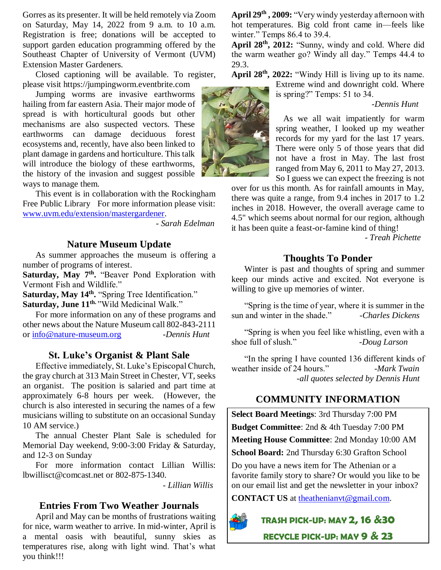Gorres as its presenter. It will be held remotely via Zoom on Saturday, May 14, 2022 from 9 a.m. to 10 a.m. Registration is free; donations will be accepted to support garden education programming offered by the Southeast Chapter of University of Vermont (UVM) Extension Master Gardeners.

Closed captioning will be available. To register, please visit https://jumpingworm.eventbrite.com

Jumping worms are invasive earthworms hailing from far eastern Asia. Their major mode of spread is with horticultural goods but other mechanisms are also suspected vectors. These earthworms can damage deciduous forest ecosystems and, recently, have also been linked to plant damage in gardens and horticulture. This talk will introduce the biology of these earthworms, the history of the invasion and suggest possible ways to manage them.

This event is in collaboration with the Rockingham Free Public Library For more information please visit: [www.uvm.edu/extension/mastergardener.](http://www.uvm.edu/extension/mastergardener)

*- Sarah Edelman*

#### **Nature Museum Update**

As summer approaches the museum is offering a number of programs of interest.

Saturday, May 7<sup>th</sup>. "Beaver Pond Exploration with Vermont Fish and Wildlife."

**Saturday, May 14th .** "Spring Tree Identification." **Saturday, June 11th.** "Wild Medicinal Walk."

For more information on any of these programs and other news about the Nature Museum call 802-843-2111 or [info@nature-museum.org](mailto:info@nature-museum.org) *-Dennis Hunt*

#### **St. Luke's Organist & Plant Sale**

Effective immediately, St. Luke's Episcopal Church, the gray church at 313 Main Street in Chester, VT, seeks an organist. The position is salaried and part time at approximately 6-8 hours per week. (However, the church is also interested in securing the names of a few musicians willing to substitute on an occasional Sunday 10 AM service.)

The annual Chester Plant Sale is scheduled for Memorial Day weekend, 9:00-3:00 Friday & Saturday, and 12-3 on Sunday

For more information contact Lillian Willis: lbwillisct@comcast.net or 802-875-1340.

- *Lillian Willis*

#### **Entries From Two Weather Journals**

April and May can be months of frustrations waiting for nice, warm weather to arrive. In mid-winter, April is a mental oasis with beautiful, sunny skies as temperatures rise, along with light wind. That's what you think!!!

**April 29th , 2009:** "Very windy yesterday afternoon with hot temperatures. Big cold front came in—feels like winter." Temps 86.4 to 39.4.

**April 28th, 2012:** "Sunny, windy and cold. Where did the warm weather go? Windy all day." Temps 44.4 to 29.3.

**April 28th, 2022:** "Windy Hill is living up to its name.

Extreme wind and downright cold. Where is spring?" Temps: 51 to 34.

*-Dennis Hunt*

As we all wait impatiently for warm spring weather, I looked up my weather records for my yard for the last 17 years. There were only 5 of those years that did not have a frost in May. The last frost ranged from May 6, 2011 to May 27, 2013. So I guess we can expect the freezing is not

over for us this month. As for rainfall amounts in May, there was quite a range, from 9.4 inches in 2017 to 1.2 inches in 2018. However, the overall average came to 4.5" which seems about normal for our region, although it has been quite a feast-or-famine kind of thing!

- *Treah Pichette*

#### **Thoughts To Ponder**

Winter is past and thoughts of spring and summer keep our minds active and excited. Not everyone is willing to give up memories of winter.

"Spring is the time of year, where it is summer in the sun and winter in the shade." *-Charles Dickens*

"Spring is when you feel like whistling, even with a shoe full of slush." *-Doug Larson*

"In the spring I have counted 136 different kinds of weather inside of 24 hours." *-Mark Twain -all quotes selected by Dennis Hunt*

## **COMMUNITY INFORMATION**

**Select Board Meetings**: 3rd Thursday 7:00 PM

**Budget Committee**: 2nd & 4th Tuesday 7:00 PM

**Meeting House Committee**: 2nd Monday 10:00 AM

**School Board:** 2nd Thursday 6:30 Grafton School

Do you have a news item for The Athenian or a favorite family story to share? Or would you like to be on our email list and get the newsletter in your inbox?

**CONTACT US** at [theathenianvt@gmail.com.](mailto:theathenianvt@gmail.com)



**TRASH PICK-UP: MAY 2, 16 &30**

**RECYCLE PICK-UP: MAY 9 & 23**